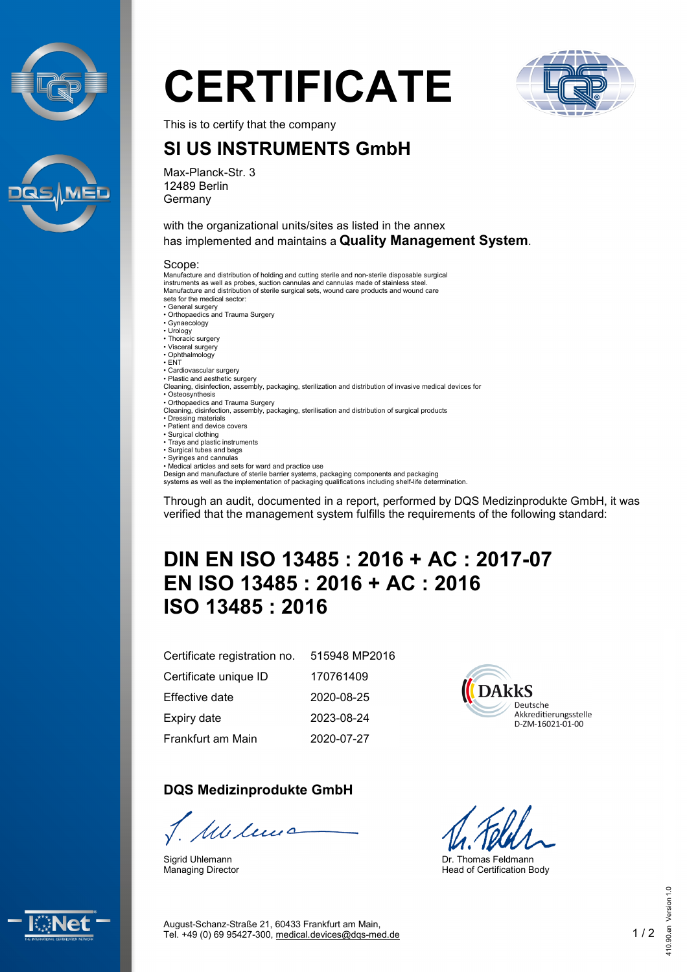



# **CERTIFICATE**



This is to certify that the company

## **SI US INSTRUMENTS GmbH**

Max-Planck-Str. 3 12489 Berlin Germany

with the organizational units/sites as listed in the annex has implemented and maintains a **Quality Management System**.

#### Scope:

Manufacture and distribution of holding and cutting sterile and non-sterile disposable surgical instruments as well as probes, suction cannulas and cannulas made of stainless steel. Manufacture and distribution of sterile surgical sets, wound care products and wound care sets for the medical sector: • General surgery • Orthopaedics and Trauma Surgery • Gynaecology • Urology • Thoracic surgery • Visceral surgery • Ophthalmology • ENT • Cardiovascular surgery • Plastic and aesthetic surgery Cleaning, disinfection, assembly, packaging, sterilization and distribution of invasive medical devices for • Osteosynthesis • Orthopaedics and Trauma Surgery Cleaning, disinfection, assembly, packaging, sterilisation and distribution of surgical products<br>• Dressing materials<br>• Patient and device covers • Surgical clothing • Trays and plastic instruments • Surgical tubes and bags • Syringes and cannulas • Medical articles and sets for ward and practice use

Design and manufacture of sterile barrier systems, packaging components and packaging systems as well as the implementation of packaging qualifications including shelf-life determination.

Through an audit, documented in a report, performed by DQS Medizinprodukte GmbH, it was verified that the management system fulfills the requirements of the following standard:

# **DIN EN ISO 13485 : 2016 + AC : 2017-07 EN ISO 13485 : 2016 + AC : 2016 ISO 13485 : 2016**

| Certificate registration no. | 515948 MP2016 |
|------------------------------|---------------|
| Certificate unique ID        | 170761409     |
| Effective date               | 2020-08-25    |
| Expiry date                  | 2023-08-24    |
| Frankfurt am Main            | 2020-07-27    |

#### **DQS Medizinprodukte GmbH**

J. Milenão

Sigrid Uhlemann Managing Director



Dr. Thomas Feldmann Head of Certification Body



August-Schanz-Straße 21, 60433 Frankfurt am Main, Tel. +49 (0) 69 95427-300, [medical.devices@dqs-med.de](mailto:medical.devices@dqs-med.de) 1 / 2